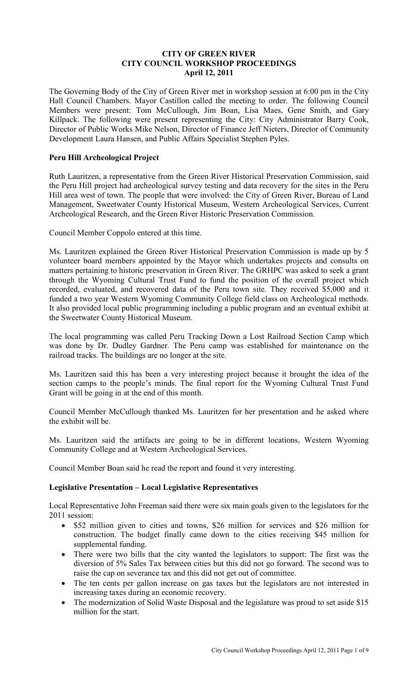# **CITY OF GREEN RIVER CITY COUNCIL WORKSHOP PROCEEDINGS April 12, 2011**

The Governing Body of the City of Green River met in workshop session at 6:00 pm in the City Hall Council Chambers. Mayor Castillon called the meeting to order. The following Council Members were present: Tom McCullough, Jim Boan, Lisa Maes, Gene Smith, and Gary Killpack. The following were present representing the City: City Administrator Barry Cook, Director of Public Works Mike Nelson, Director of Finance Jeff Nieters, Director of Community Development Laura Hansen, and Public Affairs Specialist Stephen Pyles.

# **Peru Hill Archeological Project**

Ruth Lauritzen, a representative from the Green River Historical Preservation Commission, said the Peru Hill project had archeological survey testing and data recovery for the sites in the Peru Hill area west of town. The people that were involved: the City of Green River, Bureau of Land Management, Sweetwater County Historical Museum, Western Archeological Services, Current Archeological Research, and the Green River Historic Preservation Commission.

Council Member Coppolo entered at this time.

Ms. Lauritzen explained the Green River Historical Preservation Commission is made up by 5 volunteer board members appointed by the Mayor which undertakes projects and consults on matters pertaining to historic preservation in Green River. The GRHPC was asked to seek a grant through the Wyoming Cultural Trust Fund to fund the position of the overall project which recorded, evaluated, and recovered data of the Peru town site. They received \$5,000 and it funded a two year Western Wyoming Community College field class on Archeological methods. It also provided local public programming including a public program and an eventual exhibit at the Sweetwater County Historical Museum.

The local programming was called Peru Tracking Down a Lost Railroad Section Camp which was done by Dr. Dudley Gardner. The Peru camp was established for maintenance on the railroad tracks. The buildings are no longer at the site.

Ms. Lauritzen said this has been a very interesting project because it brought the idea of the section camps to the people's minds. The final report for the Wyoming Cultural Trust Fund Grant will be going in at the end of this month.

Council Member McCullough thanked Ms. Lauritzen for her presentation and he asked where the exhibit will be.

Ms. Lauritzen said the artifacts are going to be in different locations, Western Wyoming Community College and at Western Archeological Services.

Council Member Boan said he read the report and found it very interesting.

# **Legislative Presentation – Local Legislative Representatives**

Local Representative John Freeman said there were six main goals given to the legislators for the 2011 session:

- \$52 million given to cities and towns, \$26 million for services and \$26 million for construction. The budget finally came down to the cities receiving \$45 million for supplemental funding.
- There were two bills that the city wanted the legislators to support: The first was the diversion of 5% Sales Tax between cities but this did not go forward. The second was to raise the cap on severance tax and this did not get out of committee.
- The ten cents per gallon increase on gas taxes but the legislators are not interested in increasing taxes during an economic recovery.
- The modernization of Solid Waste Disposal and the legislature was proud to set aside \$15 million for the start.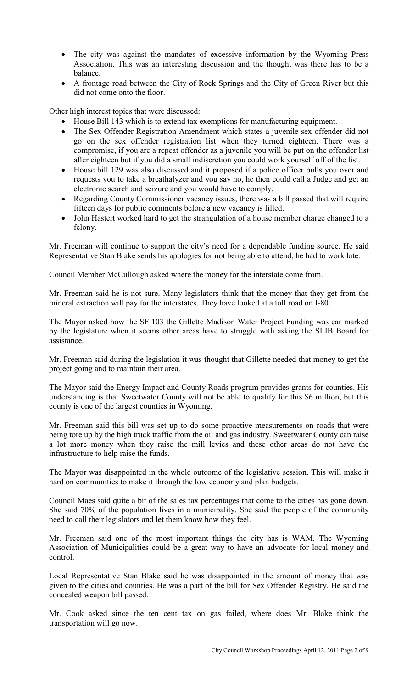- The city was against the mandates of excessive information by the Wyoming Press Association. This was an interesting discussion and the thought was there has to be a balance.
- A frontage road between the City of Rock Springs and the City of Green River but this did not come onto the floor.

Other high interest topics that were discussed:

- House Bill 143 which is to extend tax exemptions for manufacturing equipment.
- The Sex Offender Registration Amendment which states a juvenile sex offender did not go on the sex offender registration list when they turned eighteen. There was a compromise, if you are a repeat offender as a juvenile you will be put on the offender list after eighteen but if you did a small indiscretion you could work yourself off of the list.
- House bill 129 was also discussed and it proposed if a police officer pulls you over and requests you to take a breathalyzer and you say no, he then could call a Judge and get an electronic search and seizure and you would have to comply.
- Regarding County Commissioner vacancy issues, there was a bill passed that will require fifteen days for public comments before a new vacancy is filled.
- John Hastert worked hard to get the strangulation of a house member charge changed to a felony.

Mr. Freeman will continue to support the city's need for a dependable funding source. He said Representative Stan Blake sends his apologies for not being able to attend, he had to work late.

Council Member McCullough asked where the money for the interstate come from.

Mr. Freeman said he is not sure. Many legislators think that the money that they get from the mineral extraction will pay for the interstates. They have looked at a toll road on I-80.

The Mayor asked how the SF 103 the Gillette Madison Water Project Funding was ear marked by the legislature when it seems other areas have to struggle with asking the SLIB Board for assistance.

Mr. Freeman said during the legislation it was thought that Gillette needed that money to get the project going and to maintain their area.

The Mayor said the Energy Impact and County Roads program provides grants for counties. His understanding is that Sweetwater County will not be able to qualify for this \$6 million, but this county is one of the largest counties in Wyoming.

Mr. Freeman said this bill was set up to do some proactive measurements on roads that were being tore up by the high truck traffic from the oil and gas industry. Sweetwater County can raise a lot more money when they raise the mill levies and these other areas do not have the infrastructure to help raise the funds.

The Mayor was disappointed in the whole outcome of the legislative session. This will make it hard on communities to make it through the low economy and plan budgets.

Council Maes said quite a bit of the sales tax percentages that come to the cities has gone down. She said 70% of the population lives in a municipality. She said the people of the community need to call their legislators and let them know how they feel.

Mr. Freeman said one of the most important things the city has is WAM. The Wyoming Association of Municipalities could be a great way to have an advocate for local money and control.

Local Representative Stan Blake said he was disappointed in the amount of money that was given to the cities and counties. He was a part of the bill for Sex Offender Registry. He said the concealed weapon bill passed.

Mr. Cook asked since the ten cent tax on gas failed, where does Mr. Blake think the transportation will go now.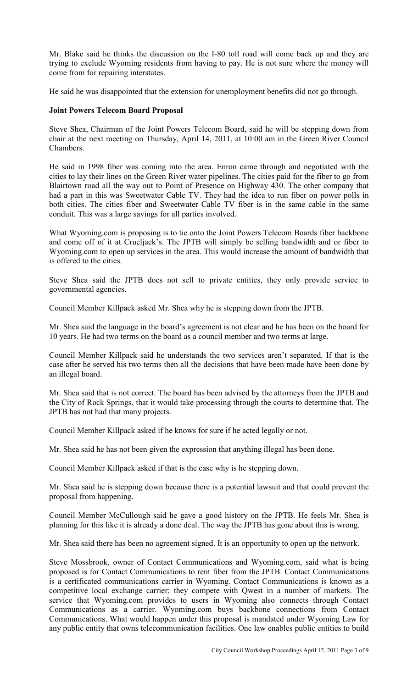Mr. Blake said he thinks the discussion on the I-80 toll road will come back up and they are trying to exclude Wyoming residents from having to pay. He is not sure where the money will come from for repairing interstates.

He said he was disappointed that the extension for unemployment benefits did not go through.

#### **Joint Powers Telecom Board Proposal**

Steve Shea, Chairman of the Joint Powers Telecom Board, said he will be stepping down from chair at the next meeting on Thursday, April 14, 2011, at 10:00 am in the Green River Council Chambers.

He said in 1998 fiber was coming into the area. Enron came through and negotiated with the cities to lay their lines on the Green River water pipelines. The cities paid for the fiber to go from Blairtown road all the way out to Point of Presence on Highway 430. The other company that had a part in this was Sweetwater Cable TV. They had the idea to run fiber on power polls in both cities. The cities fiber and Sweetwater Cable TV fiber is in the same cable in the same conduit. This was a large savings for all parties involved.

What Wyoming.com is proposing is to tie onto the Joint Powers Telecom Boards fiber backbone and come off of it at Crueljack's. The JPTB will simply be selling bandwidth and or fiber to Wyoming.com to open up services in the area. This would increase the amount of bandwidth that is offered to the cities.

Steve Shea said the JPTB does not sell to private entities, they only provide service to governmental agencies.

Council Member Killpack asked Mr. Shea why he is stepping down from the JPTB.

Mr. Shea said the language in the board's agreement is not clear and he has been on the board for 10 years. He had two terms on the board as a council member and two terms at large.

Council Member Killpack said he understands the two services aren't separated. If that is the case after he served his two terms then all the decisions that have been made have been done by an illegal board.

Mr. Shea said that is not correct. The board has been advised by the attorneys from the JPTB and the City of Rock Springs, that it would take processing through the courts to determine that. The JPTB has not had that many projects.

Council Member Killpack asked if he knows for sure if he acted legally or not.

Mr. Shea said he has not been given the expression that anything illegal has been done.

Council Member Killpack asked if that is the case why is he stepping down.

Mr. Shea said he is stepping down because there is a potential lawsuit and that could prevent the proposal from happening.

Council Member McCullough said he gave a good history on the JPTB. He feels Mr. Shea is planning for this like it is already a done deal. The way the JPTB has gone about this is wrong.

Mr. Shea said there has been no agreement signed. It is an opportunity to open up the network.

Steve Mossbrook, owner of Contact Communications and Wyoming.com, said what is being proposed is for Contact Communications to rent fiber from the JPTB. Contact Communications is a certificated communications carrier in Wyoming. Contact Communications is known as a competitive local exchange carrier; they compete with Qwest in a number of markets. The service that Wyoming.com provides to users in Wyoming also connects through Contact Communications as a carrier. Wyoming.com buys backbone connections from Contact Communications. What would happen under this proposal is mandated under Wyoming Law for any public entity that owns telecommunication facilities. One law enables public entities to build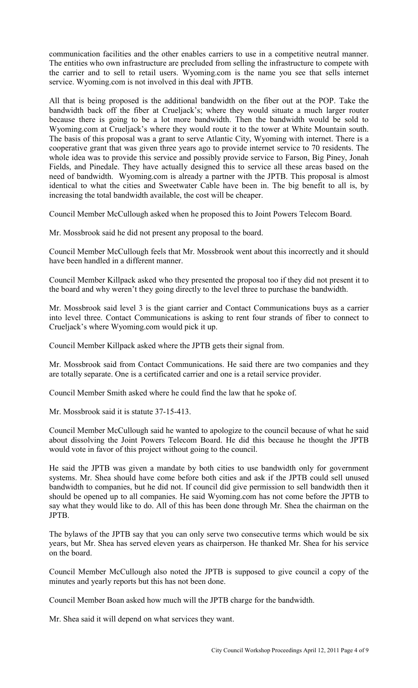communication facilities and the other enables carriers to use in a competitive neutral manner. The entities who own infrastructure are precluded from selling the infrastructure to compete with the carrier and to sell to retail users. Wyoming.com is the name you see that sells internet service. Wyoming.com is not involved in this deal with JPTB.

All that is being proposed is the additional bandwidth on the fiber out at the POP. Take the bandwidth back off the fiber at Crueljack's; where they would situate a much larger router because there is going to be a lot more bandwidth. Then the bandwidth would be sold to Wyoming.com at Crueljack's where they would route it to the tower at White Mountain south. The basis of this proposal was a grant to serve Atlantic City, Wyoming with internet. There is a cooperative grant that was given three years ago to provide internet service to 70 residents. The whole idea was to provide this service and possibly provide service to Farson, Big Piney, Jonah Fields, and Pinedale. They have actually designed this to service all these areas based on the need of bandwidth. Wyoming.com is already a partner with the JPTB. This proposal is almost identical to what the cities and Sweetwater Cable have been in. The big benefit to all is, by increasing the total bandwidth available, the cost will be cheaper.

Council Member McCullough asked when he proposed this to Joint Powers Telecom Board.

Mr. Mossbrook said he did not present any proposal to the board.

Council Member McCullough feels that Mr. Mossbrook went about this incorrectly and it should have been handled in a different manner.

Council Member Killpack asked who they presented the proposal too if they did not present it to the board and why weren't they going directly to the level three to purchase the bandwidth.

Mr. Mossbrook said level 3 is the giant carrier and Contact Communications buys as a carrier into level three. Contact Communications is asking to rent four strands of fiber to connect to Crueljack's where Wyoming.com would pick it up.

Council Member Killpack asked where the JPTB gets their signal from.

Mr. Mossbrook said from Contact Communications. He said there are two companies and they are totally separate. One is a certificated carrier and one is a retail service provider.

Council Member Smith asked where he could find the law that he spoke of.

Mr. Mossbrook said it is statute 37-15-413.

Council Member McCullough said he wanted to apologize to the council because of what he said about dissolving the Joint Powers Telecom Board. He did this because he thought the JPTB would vote in favor of this project without going to the council.

He said the JPTB was given a mandate by both cities to use bandwidth only for government systems. Mr. Shea should have come before both cities and ask if the JPTB could sell unused bandwidth to companies, but he did not. If council did give permission to sell bandwidth then it should be opened up to all companies. He said Wyoming.com has not come before the JPTB to say what they would like to do. All of this has been done through Mr. Shea the chairman on the JPTB.

The bylaws of the JPTB say that you can only serve two consecutive terms which would be six years, but Mr. Shea has served eleven years as chairperson. He thanked Mr. Shea for his service on the board.

Council Member McCullough also noted the JPTB is supposed to give council a copy of the minutes and yearly reports but this has not been done.

Council Member Boan asked how much will the JPTB charge for the bandwidth.

Mr. Shea said it will depend on what services they want.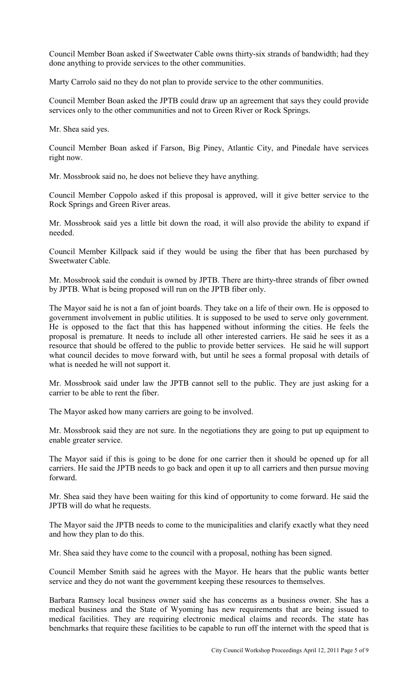Council Member Boan asked if Sweetwater Cable owns thirty-six strands of bandwidth; had they done anything to provide services to the other communities.

Marty Carrolo said no they do not plan to provide service to the other communities.

Council Member Boan asked the JPTB could draw up an agreement that says they could provide services only to the other communities and not to Green River or Rock Springs.

Mr. Shea said yes.

Council Member Boan asked if Farson, Big Piney, Atlantic City, and Pinedale have services right now.

Mr. Mossbrook said no, he does not believe they have anything.

Council Member Coppolo asked if this proposal is approved, will it give better service to the Rock Springs and Green River areas.

Mr. Mossbrook said yes a little bit down the road, it will also provide the ability to expand if needed.

Council Member Killpack said if they would be using the fiber that has been purchased by Sweetwater Cable.

Mr. Mossbrook said the conduit is owned by JPTB. There are thirty-three strands of fiber owned by JPTB. What is being proposed will run on the JPTB fiber only.

The Mayor said he is not a fan of joint boards. They take on a life of their own. He is opposed to government involvement in public utilities. It is supposed to be used to serve only government. He is opposed to the fact that this has happened without informing the cities. He feels the proposal is premature. It needs to include all other interested carriers. He said he sees it as a resource that should be offered to the public to provide better services. He said he will support what council decides to move forward with, but until he sees a formal proposal with details of what is needed he will not support it.

Mr. Mossbrook said under law the JPTB cannot sell to the public. They are just asking for a carrier to be able to rent the fiber.

The Mayor asked how many carriers are going to be involved.

Mr. Mossbrook said they are not sure. In the negotiations they are going to put up equipment to enable greater service.

The Mayor said if this is going to be done for one carrier then it should be opened up for all carriers. He said the JPTB needs to go back and open it up to all carriers and then pursue moving forward.

Mr. Shea said they have been waiting for this kind of opportunity to come forward. He said the JPTB will do what he requests.

The Mayor said the JPTB needs to come to the municipalities and clarify exactly what they need and how they plan to do this.

Mr. Shea said they have come to the council with a proposal, nothing has been signed.

Council Member Smith said he agrees with the Mayor. He hears that the public wants better service and they do not want the government keeping these resources to themselves.

Barbara Ramsey local business owner said she has concerns as a business owner. She has a medical business and the State of Wyoming has new requirements that are being issued to medical facilities. They are requiring electronic medical claims and records. The state has benchmarks that require these facilities to be capable to run off the internet with the speed that is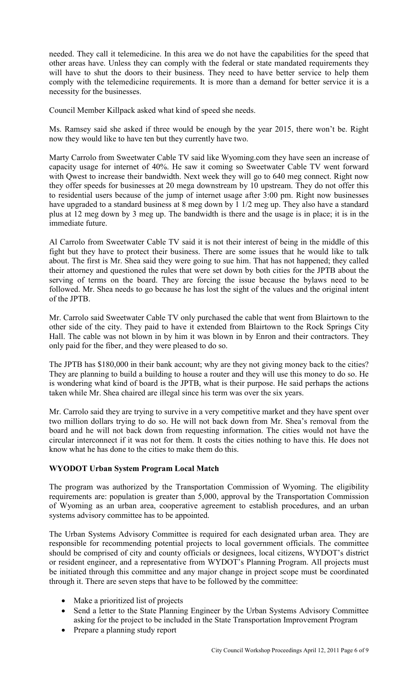needed. They call it telemedicine. In this area we do not have the capabilities for the speed that other areas have. Unless they can comply with the federal or state mandated requirements they will have to shut the doors to their business. They need to have better service to help them comply with the telemedicine requirements. It is more than a demand for better service it is a necessity for the businesses.

Council Member Killpack asked what kind of speed she needs.

Ms. Ramsey said she asked if three would be enough by the year 2015, there won't be. Right now they would like to have ten but they currently have two.

Marty Carrolo from Sweetwater Cable TV said like Wyoming.com they have seen an increase of capacity usage for internet of 40%. He saw it coming so Sweetwater Cable TV went forward with Qwest to increase their bandwidth. Next week they will go to 640 meg connect. Right now they offer speeds for businesses at 20 mega downstream by 10 upstream. They do not offer this to residential users because of the jump of internet usage after 3:00 pm. Right now businesses have upgraded to a standard business at 8 meg down by 1 1/2 meg up. They also have a standard plus at 12 meg down by 3 meg up. The bandwidth is there and the usage is in place; it is in the immediate future.

Al Carrolo from Sweetwater Cable TV said it is not their interest of being in the middle of this fight but they have to protect their business. There are some issues that he would like to talk about. The first is Mr. Shea said they were going to sue him. That has not happened; they called their attorney and questioned the rules that were set down by both cities for the JPTB about the serving of terms on the board. They are forcing the issue because the bylaws need to be followed. Mr. Shea needs to go because he has lost the sight of the values and the original intent of the JPTB.

Mr. Carrolo said Sweetwater Cable TV only purchased the cable that went from Blairtown to the other side of the city. They paid to have it extended from Blairtown to the Rock Springs City Hall. The cable was not blown in by him it was blown in by Enron and their contractors. They only paid for the fiber, and they were pleased to do so.

The JPTB has \$180,000 in their bank account; why are they not giving money back to the cities? They are planning to build a building to house a router and they will use this money to do so. He is wondering what kind of board is the JPTB, what is their purpose. He said perhaps the actions taken while Mr. Shea chaired are illegal since his term was over the six years.

Mr. Carrolo said they are trying to survive in a very competitive market and they have spent over two million dollars trying to do so. He will not back down from Mr. Shea's removal from the board and he will not back down from requesting information. The cities would not have the circular interconnect if it was not for them. It costs the cities nothing to have this. He does not know what he has done to the cities to make them do this.

# **WYODOT Urban System Program Local Match**

The program was authorized by the Transportation Commission of Wyoming. The eligibility requirements are: population is greater than 5,000, approval by the Transportation Commission of Wyoming as an urban area, cooperative agreement to establish procedures, and an urban systems advisory committee has to be appointed.

The Urban Systems Advisory Committee is required for each designated urban area. They are responsible for recommending potential projects to local government officials. The committee should be comprised of city and county officials or designees, local citizens, WYDOT's district or resident engineer, and a representative from WYDOT's Planning Program. All projects must be initiated through this committee and any major change in project scope must be coordinated through it. There are seven steps that have to be followed by the committee:

- Make a prioritized list of projects
- Send a letter to the State Planning Engineer by the Urban Systems Advisory Committee asking for the project to be included in the State Transportation Improvement Program
- Prepare a planning study report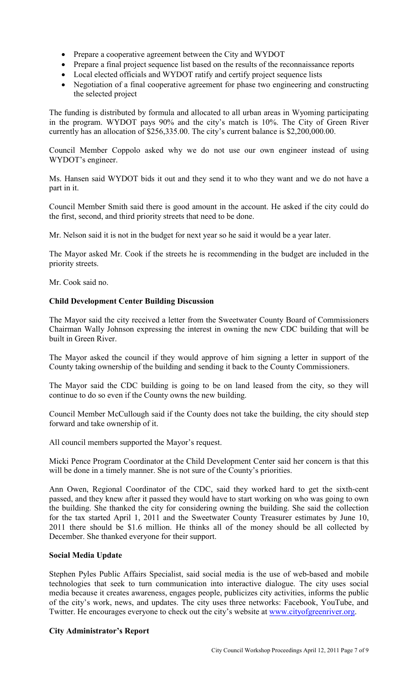- Prepare a cooperative agreement between the City and WYDOT
- Prepare a final project sequence list based on the results of the reconnaissance reports
- Local elected officials and WYDOT ratify and certify project sequence lists
- Negotiation of a final cooperative agreement for phase two engineering and constructing the selected project

The funding is distributed by formula and allocated to all urban areas in Wyoming participating in the program. WYDOT pays 90% and the city's match is 10%. The City of Green River currently has an allocation of \$256,335.00. The city's current balance is \$2,200,000.00.

Council Member Coppolo asked why we do not use our own engineer instead of using WYDOT's engineer.

Ms. Hansen said WYDOT bids it out and they send it to who they want and we do not have a part in it.

Council Member Smith said there is good amount in the account. He asked if the city could do the first, second, and third priority streets that need to be done.

Mr. Nelson said it is not in the budget for next year so he said it would be a year later.

The Mayor asked Mr. Cook if the streets he is recommending in the budget are included in the priority streets.

Mr. Cook said no.

# **Child Development Center Building Discussion**

The Mayor said the city received a letter from the Sweetwater County Board of Commissioners Chairman Wally Johnson expressing the interest in owning the new CDC building that will be built in Green River.

The Mayor asked the council if they would approve of him signing a letter in support of the County taking ownership of the building and sending it back to the County Commissioners.

The Mayor said the CDC building is going to be on land leased from the city, so they will continue to do so even if the County owns the new building.

Council Member McCullough said if the County does not take the building, the city should step forward and take ownership of it.

All council members supported the Mayor's request.

Micki Pence Program Coordinator at the Child Development Center said her concern is that this will be done in a timely manner. She is not sure of the County's priorities.

Ann Owen, Regional Coordinator of the CDC, said they worked hard to get the sixth-cent passed, and they knew after it passed they would have to start working on who was going to own the building. She thanked the city for considering owning the building. She said the collection for the tax started April 1, 2011 and the Sweetwater County Treasurer estimates by June 10, 2011 there should be \$1.6 million. He thinks all of the money should be all collected by December. She thanked everyone for their support.

# **Social Media Update**

Stephen Pyles Public Affairs Specialist, said social media is the use of web-based and mobile technologies that seek to turn communication into interactive dialogue. The city uses social media because it creates awareness, engages people, publicizes city activities, informs the public of the city's work, news, and updates. The city uses three networks: Facebook, YouTube, and Twitter. He encourages everyone to check out the city's website at www.cityofgreenriver.org.

# **City Administrator's Report**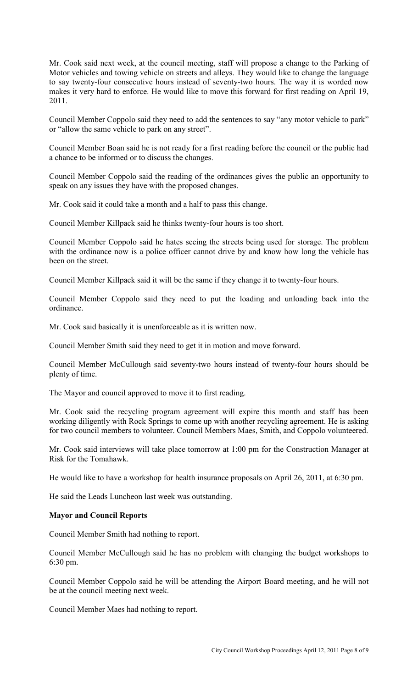Mr. Cook said next week, at the council meeting, staff will propose a change to the Parking of Motor vehicles and towing vehicle on streets and alleys. They would like to change the language to say twenty-four consecutive hours instead of seventy-two hours. The way it is worded now makes it very hard to enforce. He would like to move this forward for first reading on April 19, 2011.

Council Member Coppolo said they need to add the sentences to say "any motor vehicle to park" or "allow the same vehicle to park on any street".

Council Member Boan said he is not ready for a first reading before the council or the public had a chance to be informed or to discuss the changes.

Council Member Coppolo said the reading of the ordinances gives the public an opportunity to speak on any issues they have with the proposed changes.

Mr. Cook said it could take a month and a half to pass this change.

Council Member Killpack said he thinks twenty-four hours is too short.

Council Member Coppolo said he hates seeing the streets being used for storage. The problem with the ordinance now is a police officer cannot drive by and know how long the vehicle has been on the street.

Council Member Killpack said it will be the same if they change it to twenty-four hours.

Council Member Coppolo said they need to put the loading and unloading back into the ordinance.

Mr. Cook said basically it is unenforceable as it is written now.

Council Member Smith said they need to get it in motion and move forward.

Council Member McCullough said seventy-two hours instead of twenty-four hours should be plenty of time.

The Mayor and council approved to move it to first reading.

Mr. Cook said the recycling program agreement will expire this month and staff has been working diligently with Rock Springs to come up with another recycling agreement. He is asking for two council members to volunteer. Council Members Maes, Smith, and Coppolo volunteered.

Mr. Cook said interviews will take place tomorrow at 1:00 pm for the Construction Manager at Risk for the Tomahawk.

He would like to have a workshop for health insurance proposals on April 26, 2011, at 6:30 pm.

He said the Leads Luncheon last week was outstanding.

#### **Mayor and Council Reports**

Council Member Smith had nothing to report.

Council Member McCullough said he has no problem with changing the budget workshops to 6:30 pm.

Council Member Coppolo said he will be attending the Airport Board meeting, and he will not be at the council meeting next week.

Council Member Maes had nothing to report.